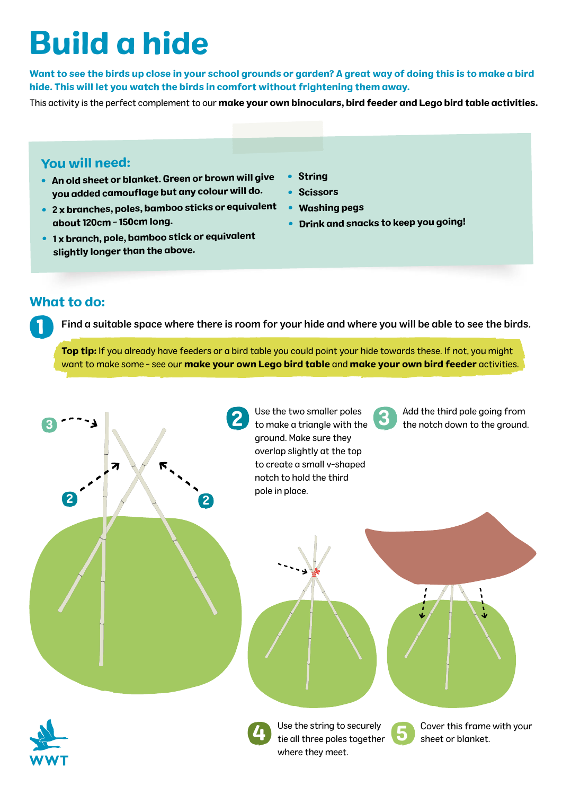# Build a hide

Want to see the birds up close in your school grounds or garden? A great way of doing this is to make a bird hide. This will let you watch the birds in comfort without frightening them away.

This activity is the perfect complement to our make your own binoculars, bird feeder and Lego bird table activities.

#### You will need:

- An old sheet or blanket. Green or brown will give you added camouflage but any colour will do.
- 2 x branches, poles, bamboo sticks or equivalent about 120cm - 150cm long.
- $\bullet~$  1 x branch, pole, bamboo stick or equivalent slightly longer than the above.
- String
- Scissors
- •Washing pegs
- Drink and snacks to keep you going!

#### What to do:

1

Find a suitable space where there is room for your hide and where you will be able to see the birds.

Top tip: If you already have feeders or a bird table you could point your hide towards these. If not, you might want to make some - see our make your own Lego bird table and make your own bird feeder activities.